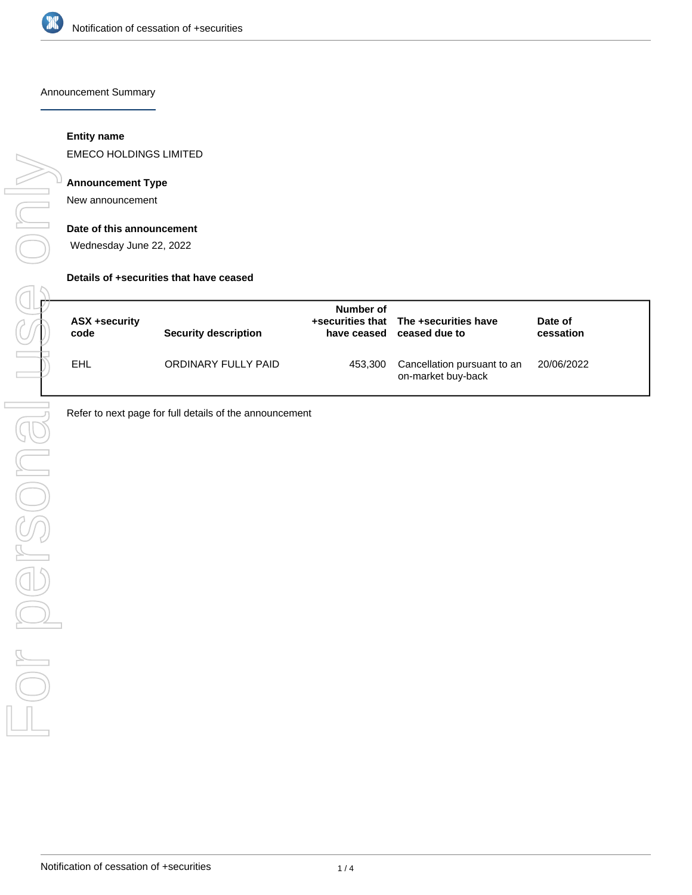

Announcement Summary

## **Entity name**

EMECO HOLDINGS LIMITED

## **Announcement Type**

New announcement

#### **Date of this announcement**

Wednesday June 22, 2022

#### **Details of +securities that have ceased**

| ASX +security<br>code | <b>Security description</b> | Number of | +securities that The +securities have<br>have ceased ceased due to | Date of<br>cessation |
|-----------------------|-----------------------------|-----------|--------------------------------------------------------------------|----------------------|
| EHL                   | ORDINARY FULLY PAID         | 453,300   | Cancellation pursuant to an<br>on-market buy-back                  | 20/06/2022           |

Refer to next page for full details of the announcement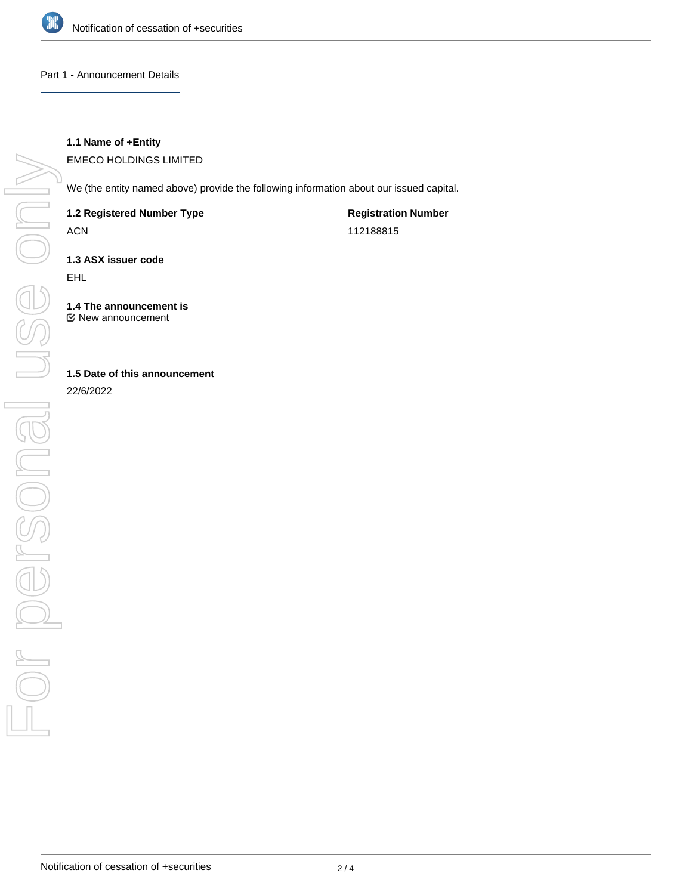

### Part 1 - Announcement Details

# **1.1 Name of +Entity**

EMECO HOLDINGS LIMITED

We (the entity named above) provide the following information about our issued capital.

**1.2 Registered Number Type**

ACN

**Registration Number** 112188815

**1.3 ASX issuer code**

EHL

**1.4 The announcement is** New announcement

# **1.5 Date of this announcement**

22/6/2022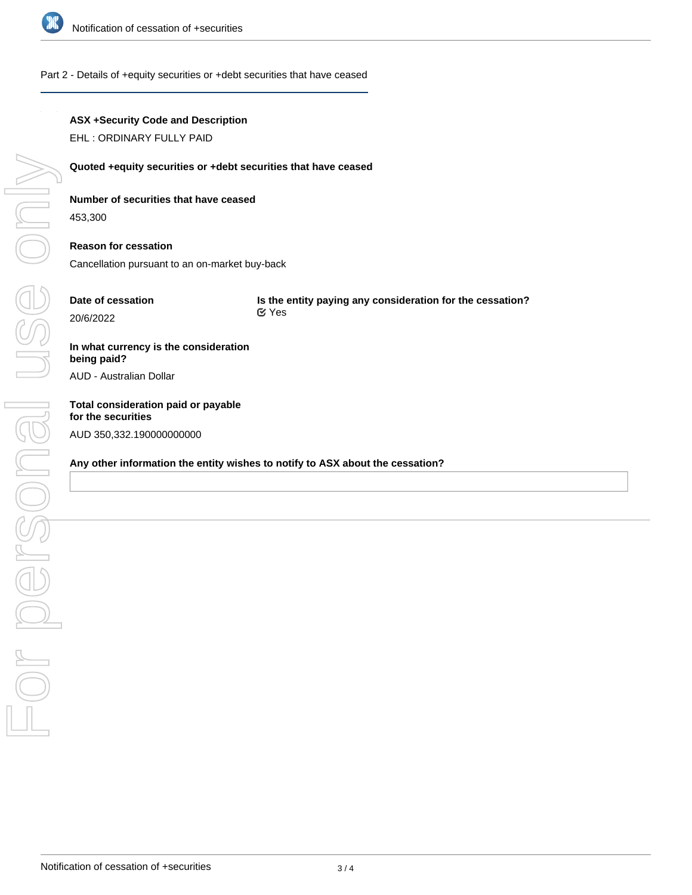

#### Part 2 - Details of +equity securities or +debt securities that have ceased

## **ASX +Security Code and Description**

EHL : ORDINARY FULLY PAID

#### **Quoted +equity securities or +debt securities that have ceased**

## **Number of securities that have ceased**

453,300

# **Reason for cessation**

Cancellation pursuant to an on-market buy-back

# **Date of cessation**

20/6/2022

**Is the entity paying any consideration for the cessation?** Yes

# **In what currency is the consideration being paid?**

AUD - Australian Dollar

# **Total consideration paid or payable for the securities** AUD 350,332.190000000000

### **Any other information the entity wishes to notify to ASX about the cessation?**